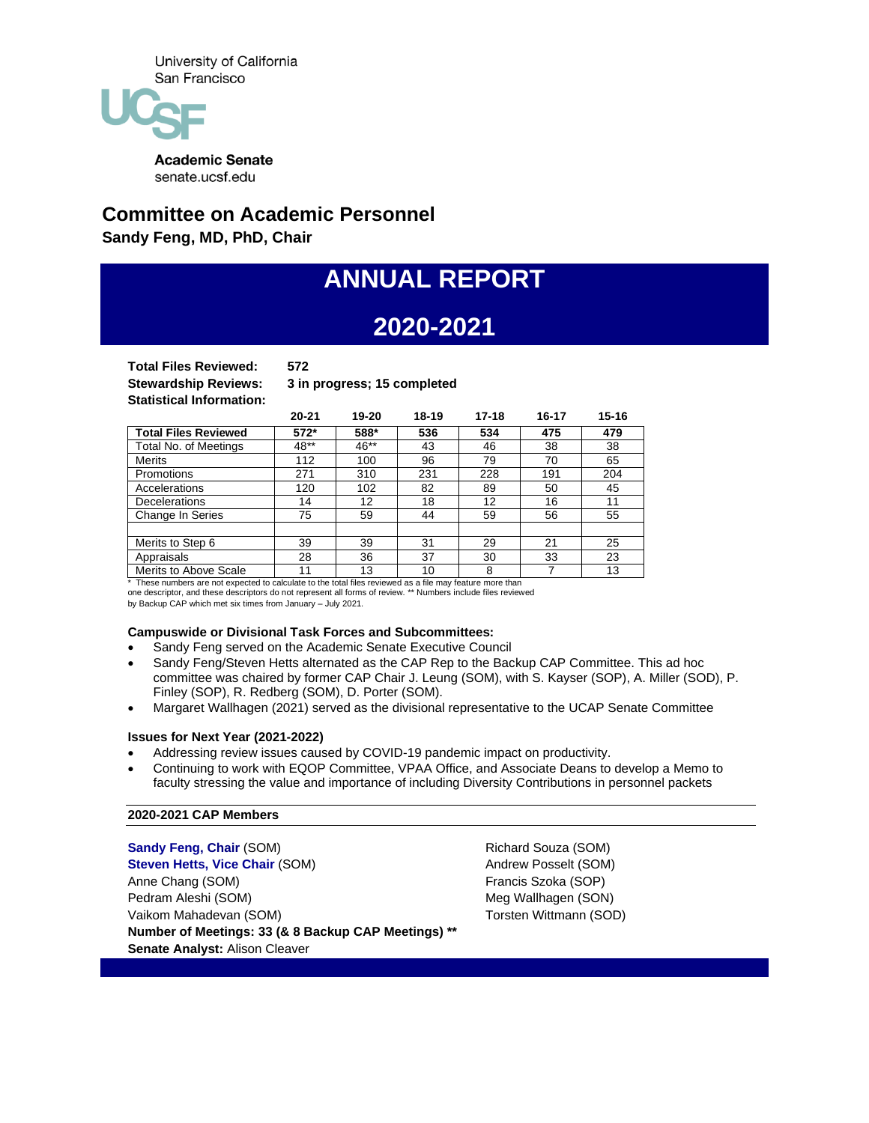

senate.ucsf.edu

# **Committee on Academic Personnel**

**Sandy Feng, MD, PhD, Chair**

# **ANNUAL REPORT**

# **2020-2021**

**Total Files Reviewed: 572 Statistical Information:** 

**Stewardship Reviews: 3 in progress; 15 completed**

|                             | $20 - 21$ | 19-20 | 18-19 | 17-18 | 16-17 | $15 - 16$ |
|-----------------------------|-----------|-------|-------|-------|-------|-----------|
| <b>Total Files Reviewed</b> | 572*      | 588*  | 536   | 534   | 475   | 479       |
| Total No. of Meetings       | 48**      | 46**  | 43    | 46    | 38    | 38        |
| <b>Merits</b>               | 112       | 100   | 96    | 79    | 70    | 65        |
| <b>Promotions</b>           | 271       | 310   | 231   | 228   | 191   | 204       |
| Accelerations               | 120       | 102   | 82    | 89    | 50    | 45        |
| <b>Decelerations</b>        | 14        | 12    | 18    | 12    | 16    | 11        |
| Change In Series            | 75        | 59    | 44    | 59    | 56    | 55        |
|                             |           |       |       |       |       |           |
| Merits to Step 6            | 39        | 39    | 31    | 29    | 21    | 25        |
| Appraisals                  | 28        | 36    | 37    | 30    | 33    | 23        |
| Merits to Above Scale       | 11        | 13    | 10    | 8     |       | 13        |

\* These numbers are not expected to calculate to the total files reviewed as a file may feature more than one descriptor, and these descriptors do not represent all forms of review. \*\* Numbers include files reviewed

by Backup CAP which met six times from January – July 2021.

# **Campuswide or Divisional Task Forces and Subcommittees:**

- Sandy Feng served on the Academic Senate Executive Council
- Sandy Feng/Steven Hetts alternated as the CAP Rep to the Backup CAP Committee. This ad hoc committee was chaired by former CAP Chair J. Leung (SOM), with S. Kayser (SOP), A. Miller (SOD), P. Finley (SOP), R. Redberg (SOM), D. Porter (SOM).
- Margaret Wallhagen (2021) served as the divisional representative to the UCAP Senate Committee

# **Issues for Next Year (2021-2022)**

- Addressing review issues caused by COVID-19 pandemic impact on productivity.
- Continuing to work with EQOP Committee, VPAA Office, and Associate Deans to develop a Memo to faculty stressing the value and importance of including Diversity Contributions in personnel packets

# **2020-2021 CAP Members**

**Sandy Feng, Chair** (SOM) **Steven Hetts, Vice Chair** (SOM) Anne Chang (SOM) Pedram Aleshi (SOM) Vaikom Mahadevan (SOM) **Number of Meetings: 33 (& 8 Backup CAP Meetings) \*\* Senate Analyst:** Alison Cleaver

Richard Souza (SOM) Andrew Posselt (SOM) Francis Szoka (SOP) Meg Wallhagen (SON) Torsten Wittmann (SOD)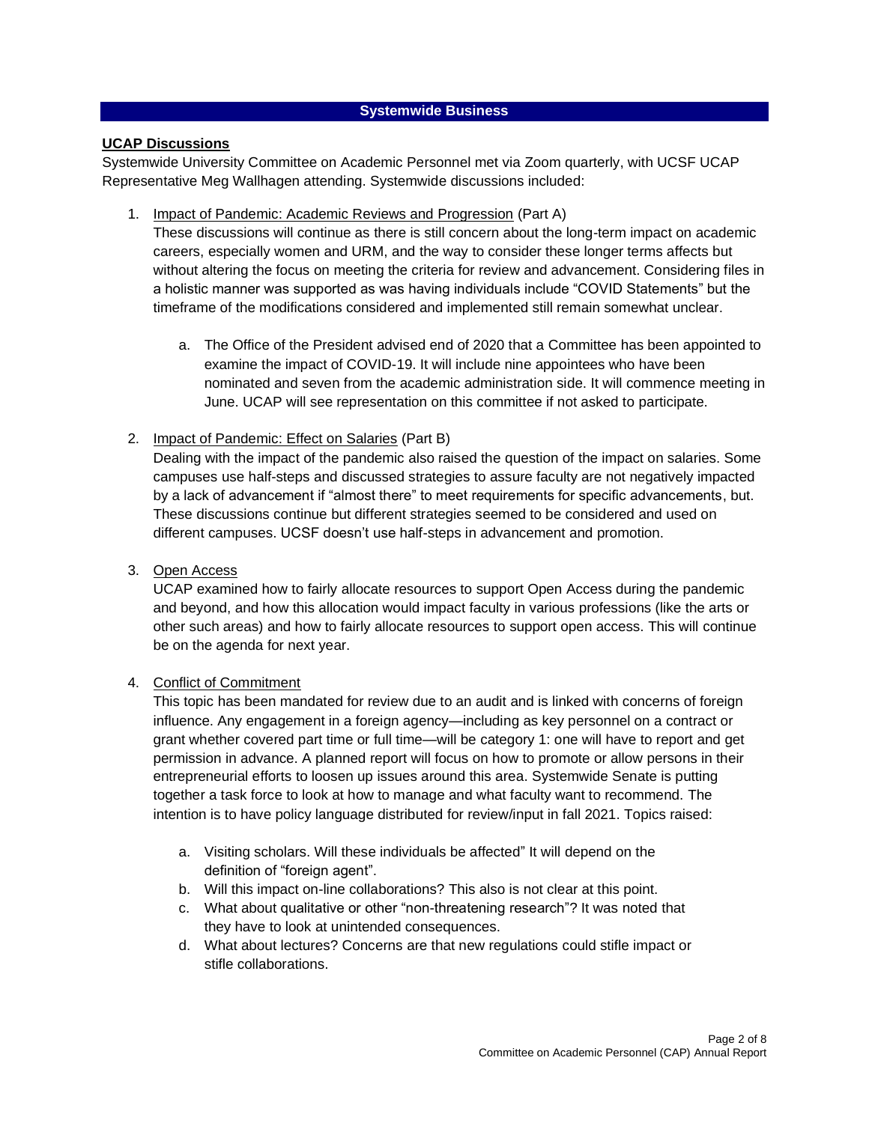# **Systemwide Business**

# **UCAP Discussions**

Systemwide University Committee on Academic Personnel met via Zoom quarterly, with UCSF UCAP Representative Meg Wallhagen attending. Systemwide discussions included:

1. Impact of Pandemic: Academic Reviews and Progression (Part A)

These discussions will continue as there is still concern about the long-term impact on academic careers, especially women and URM, and the way to consider these longer terms affects but without altering the focus on meeting the criteria for review and advancement. Considering files in a holistic manner was supported as was having individuals include "COVID Statements" but the timeframe of the modifications considered and implemented still remain somewhat unclear.

- a. The Office of the President advised end of 2020 that a Committee has been appointed to examine the impact of COVID-19. It will include nine appointees who have been nominated and seven from the academic administration side. It will commence meeting in June. UCAP will see representation on this committee if not asked to participate.
- 2. Impact of Pandemic: Effect on Salaries (Part B)

Dealing with the impact of the pandemic also raised the question of the impact on salaries. Some campuses use half-steps and discussed strategies to assure faculty are not negatively impacted by a lack of advancement if "almost there" to meet requirements for specific advancements, but. These discussions continue but different strategies seemed to be considered and used on different campuses. UCSF doesn't use half-steps in advancement and promotion.

3. Open Access

UCAP examined how to fairly allocate resources to support Open Access during the pandemic and beyond, and how this allocation would impact faculty in various professions (like the arts or other such areas) and how to fairly allocate resources to support open access. This will continue be on the agenda for next year.

4. Conflict of Commitment

This topic has been mandated for review due to an audit and is linked with concerns of foreign influence. Any engagement in a foreign agency—including as key personnel on a contract or grant whether covered part time or full time—will be category 1: one will have to report and get permission in advance. A planned report will focus on how to promote or allow persons in their entrepreneurial efforts to loosen up issues around this area. Systemwide Senate is putting together a task force to look at how to manage and what faculty want to recommend. The intention is to have policy language distributed for review/input in fall 2021. Topics raised:

- a. Visiting scholars. Will these individuals be affected" It will depend on the definition of "foreign agent".
- b. Will this impact on-line collaborations? This also is not clear at this point.
- c. What about qualitative or other "non-threatening research"? It was noted that they have to look at unintended consequences.
- d. What about lectures? Concerns are that new regulations could stifle impact or stifle collaborations.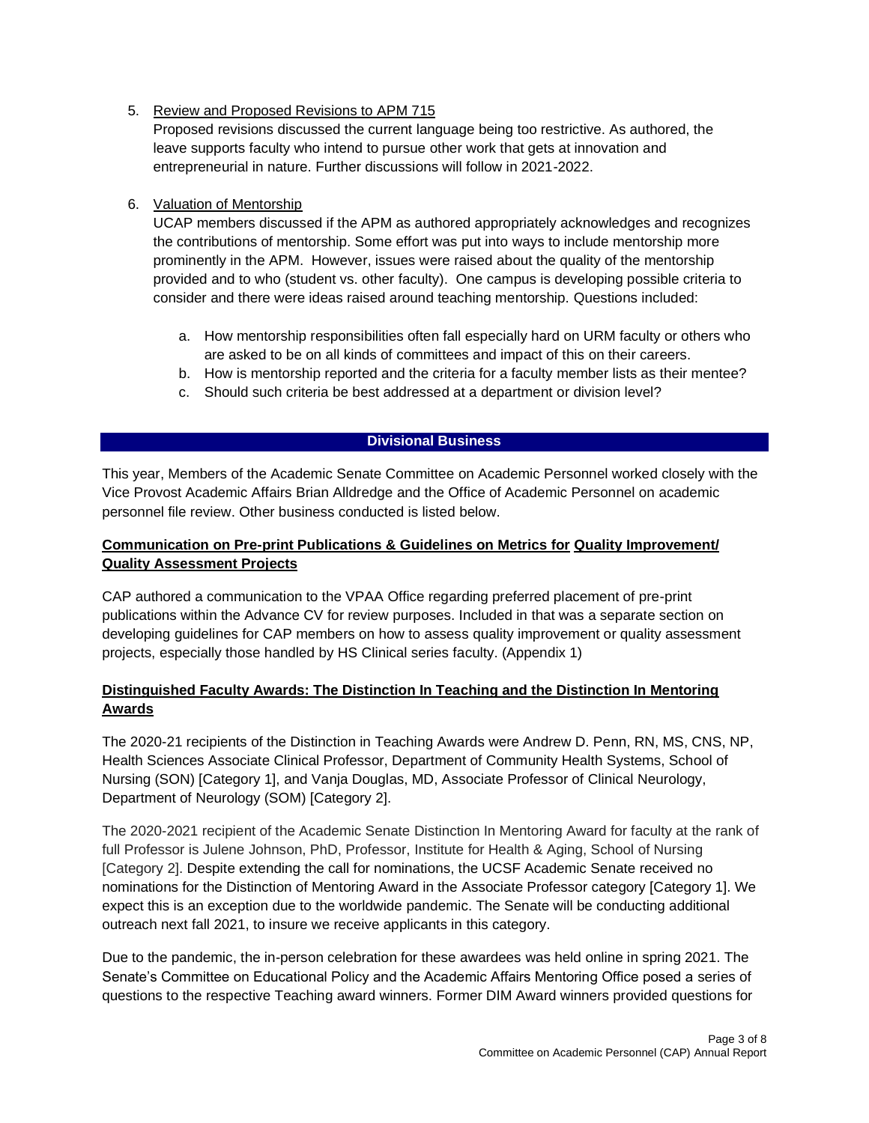5. Review and Proposed Revisions to APM 715

Proposed revisions discussed the current language being too restrictive. As authored, the leave supports faculty who intend to pursue other work that gets at innovation and entrepreneurial in nature. Further discussions will follow in 2021-2022.

# 6. Valuation of Mentorship

UCAP members discussed if the APM as authored appropriately acknowledges and recognizes the contributions of mentorship. Some effort was put into ways to include mentorship more prominently in the APM. However, issues were raised about the quality of the mentorship provided and to who (student vs. other faculty). One campus is developing possible criteria to consider and there were ideas raised around teaching mentorship. Questions included:

- a. How mentorship responsibilities often fall especially hard on URM faculty or others who are asked to be on all kinds of committees and impact of this on their careers.
- b. How is mentorship reported and the criteria for a faculty member lists as their mentee?
- c. Should such criteria be best addressed at a department or division level?

# **Divisional Business**

This year, Members of the Academic Senate Committee on Academic Personnel worked closely with the Vice Provost Academic Affairs Brian Alldredge and the Office of Academic Personnel on academic personnel file review. Other business conducted is listed below.

# **Communication on Pre-print Publications & Guidelines on Metrics for Quality Improvement/ Quality Assessment Projects**

CAP authored a communication to the VPAA Office regarding preferred placement of pre-print publications within the Advance CV for review purposes. Included in that was a separate section on developing guidelines for CAP members on how to assess quality improvement or quality assessment projects, especially those handled by HS Clinical series faculty[. \(Appendix 1\)](https://senate.ucsf.edu/sites/default/files/2021-08/CAP-Annual-Report-2020-2021-Attachment-1.pdf)

# **Distinguished Faculty Awards: The Distinction In Teaching and the Distinction In Mentoring Awards**

The 2020-21 recipients of the Distinction in Teaching Awards were Andrew D. Penn, RN, MS, CNS, NP, Health Sciences Associate Clinical Professor, Department of Community Health Systems, School of Nursing (SON) [Category 1], and Vanja Douglas, MD, Associate Professor of Clinical Neurology, Department of Neurology (SOM) [Category 2].

The 2020-2021 recipient of the Academic Senate Distinction In Mentoring Award for faculty at the rank of full Professor is Julene Johnson, PhD, Professor, Institute for Health & Aging, School of Nursing [Category 2]. Despite extending the call for nominations, the UCSF Academic Senate received no nominations for the Distinction of Mentoring Award in the Associate Professor category [Category 1]. We expect this is an exception due to the worldwide pandemic. The Senate will be conducting additional outreach next fall 2021, to insure we receive applicants in this category.

Due to the pandemic, the in-person celebration for these awardees was held online in spring 2021. The Senate's Committee on Educational Policy and the Academic Affairs Mentoring Office posed a series of questions to the respective Teaching award winners. Former DIM Award winners provided questions for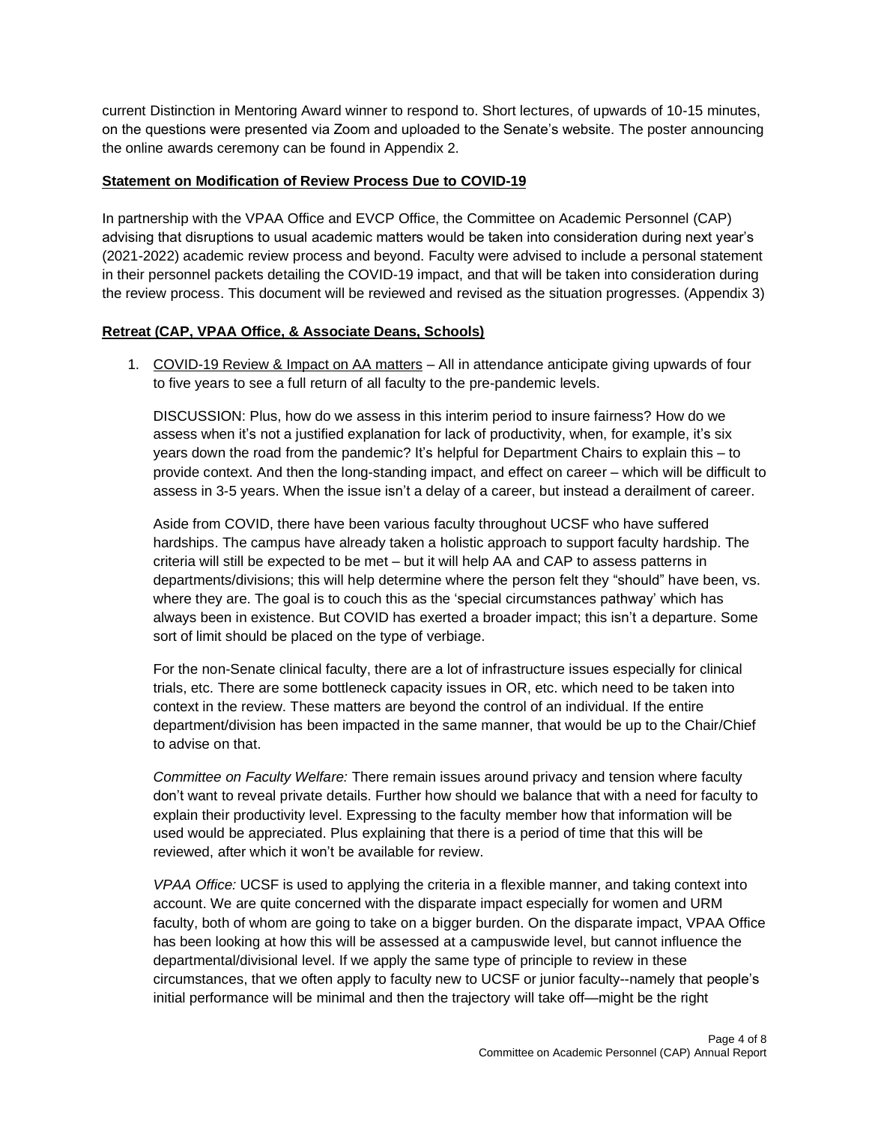current Distinction in Mentoring Award winner to respond to. Short lectures, of upwards of 10-15 minutes, on the questions were presented via Zoom and uploaded to the Senate's website. The poster announcing the online awards ceremony can be found in [Appendix 2.](https://senateserviceportal.ucsf.edu/senatedocs/2020-2021/dfa-poster-2021-05-25-Tall.pdf)

# **Statement on Modification of Review Process Due to COVID-19**

In partnership with the VPAA Office and EVCP Office, the Committee on Academic Personnel (CAP) advising that disruptions to usual academic matters would be taken into consideration during next year's (2021-2022) academic review process and beyond. Faculty were advised to include a personal statement in their personnel packets detailing the COVID-19 impact, and that will be taken into consideration during the review process. This document will be reviewed and revised as the situation progresses[. \(Appendix 3\)](https://senate.ucsf.edu/sites/default/files/2021-08/CAP-Annual-Report-Attachment%203-2019-2020.pdf)

# **Retreat (CAP, VPAA Office, & Associate Deans, Schools)**

1. COVID-19 Review & Impact on AA matters – All in attendance anticipate giving upwards of four to five years to see a full return of all faculty to the pre-pandemic levels.

DISCUSSION: Plus, how do we assess in this interim period to insure fairness? How do we assess when it's not a justified explanation for lack of productivity, when, for example, it's six years down the road from the pandemic? It's helpful for Department Chairs to explain this – to provide context. And then the long-standing impact, and effect on career – which will be difficult to assess in 3-5 years. When the issue isn't a delay of a career, but instead a derailment of career.

Aside from COVID, there have been various faculty throughout UCSF who have suffered hardships. The campus have already taken a holistic approach to support faculty hardship. The criteria will still be expected to be met – but it will help AA and CAP to assess patterns in departments/divisions; this will help determine where the person felt they "should" have been, vs. where they are. The goal is to couch this as the 'special circumstances pathway' which has always been in existence. But COVID has exerted a broader impact; this isn't a departure. Some sort of limit should be placed on the type of verbiage.

For the non-Senate clinical faculty, there are a lot of infrastructure issues especially for clinical trials, etc. There are some bottleneck capacity issues in OR, etc. which need to be taken into context in the review. These matters are beyond the control of an individual. If the entire department/division has been impacted in the same manner, that would be up to the Chair/Chief to advise on that.

*Committee on Faculty Welfare:* There remain issues around privacy and tension where faculty don't want to reveal private details. Further how should we balance that with a need for faculty to explain their productivity level. Expressing to the faculty member how that information will be used would be appreciated. Plus explaining that there is a period of time that this will be reviewed, after which it won't be available for review.

*VPAA Office:* UCSF is used to applying the criteria in a flexible manner, and taking context into account. We are quite concerned with the disparate impact especially for women and URM faculty, both of whom are going to take on a bigger burden. On the disparate impact, VPAA Office has been looking at how this will be assessed at a campuswide level, but cannot influence the departmental/divisional level. If we apply the same type of principle to review in these circumstances, that we often apply to faculty new to UCSF or junior faculty--namely that people's initial performance will be minimal and then the trajectory will take off—might be the right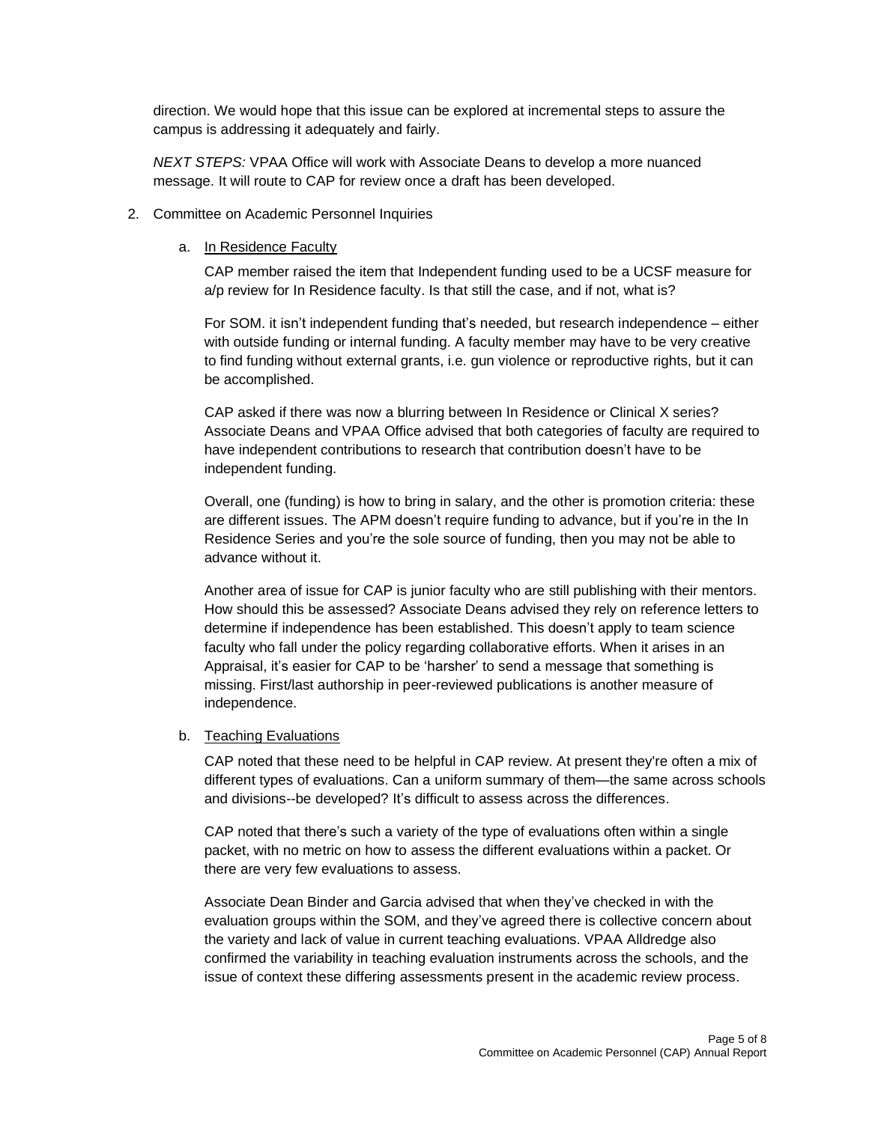direction. We would hope that this issue can be explored at incremental steps to assure the campus is addressing it adequately and fairly.

*NEXT STEPS:* VPAA Office will work with Associate Deans to develop a more nuanced message. It will route to CAP for review once a draft has been developed.

#### 2. Committee on Academic Personnel Inquiries

#### a. In Residence Faculty

CAP member raised the item that Independent funding used to be a UCSF measure for a/p review for In Residence faculty. Is that still the case, and if not, what is?

For SOM. it isn't independent funding that's needed, but research independence – either with outside funding or internal funding. A faculty member may have to be very creative to find funding without external grants, i.e. gun violence or reproductive rights, but it can be accomplished.

CAP asked if there was now a blurring between In Residence or Clinical X series? Associate Deans and VPAA Office advised that both categories of faculty are required to have independent contributions to research that contribution doesn't have to be independent funding.

Overall, one (funding) is how to bring in salary, and the other is promotion criteria: these are different issues. The APM doesn't require funding to advance, but if you're in the In Residence Series and you're the sole source of funding, then you may not be able to advance without it.

Another area of issue for CAP is junior faculty who are still publishing with their mentors. How should this be assessed? Associate Deans advised they rely on reference letters to determine if independence has been established. This doesn't apply to team science faculty who fall under the policy regarding collaborative efforts. When it arises in an Appraisal, it's easier for CAP to be 'harsher' to send a message that something is missing. First/last authorship in peer-reviewed publications is another measure of independence.

# b. Teaching Evaluations

CAP noted that these need to be helpful in CAP review. At present they're often a mix of different types of evaluations. Can a uniform summary of them—the same across schools and divisions--be developed? It's difficult to assess across the differences.

CAP noted that there's such a variety of the type of evaluations often within a single packet, with no metric on how to assess the different evaluations within a packet. Or there are very few evaluations to assess.

Associate Dean Binder and Garcia advised that when they've checked in with the evaluation groups within the SOM, and they've agreed there is collective concern about the variety and lack of value in current teaching evaluations. VPAA Alldredge also confirmed the variability in teaching evaluation instruments across the schools, and the issue of context these differing assessments present in the academic review process.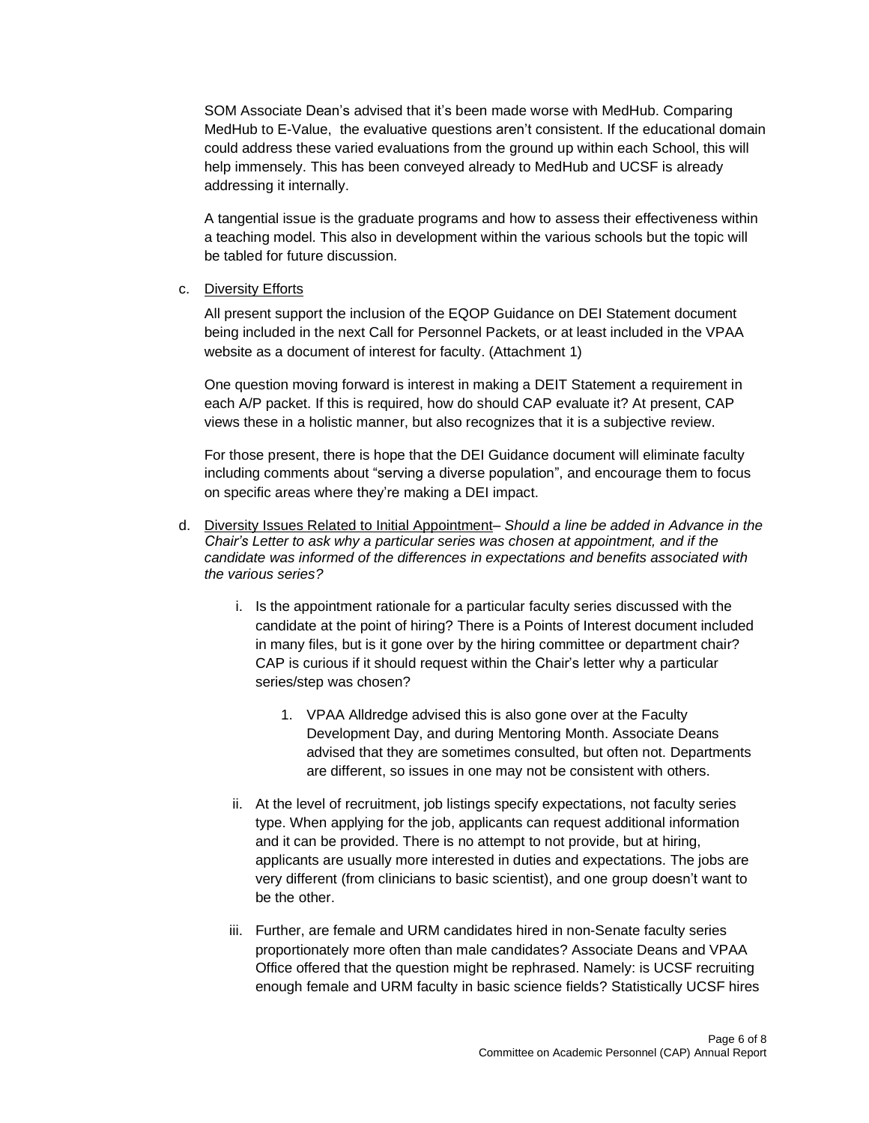SOM Associate Dean's advised that it's been made worse with MedHub. Comparing MedHub to E-Value, the evaluative questions aren't consistent. If the educational domain could address these varied evaluations from the ground up within each School, this will help immensely. This has been conveyed already to MedHub and UCSF is already addressing it internally.

A tangential issue is the graduate programs and how to assess their effectiveness within a teaching model. This also in development within the various schools but the topic will be tabled for future discussion.

# c. Diversity Efforts

All present support the inclusion of the EQOP Guidance on DEI Statement document being included in the next Call for Personnel Packets, or at least included in the VPAA website as a document of interest for faculty. [\(Attachment](https://senate.ucsf.edu/sites/default/files/2021-08/CAP-Annual-Report-2020-2021-Attachment-1.pdf) 1)

One question moving forward is interest in making a DEIT Statement a requirement in each A/P packet. If this is required, how do should CAP evaluate it? At present, CAP views these in a holistic manner, but also recognizes that it is a subjective review.

For those present, there is hope that the DEI Guidance document will eliminate faculty including comments about "serving a diverse population", and encourage them to focus on specific areas where they're making a DEI impact.

- d. Diversity Issues Related to Initial Appointment– *Should a line be added in Advance in the Chair's Letter to ask why a particular series was chosen at appointment, and if the candidate was informed of the differences in expectations and benefits associated with the various series?*
	- i. Is the appointment rationale for a particular faculty series discussed with the candidate at the point of hiring? There is a Points of Interest document included in many files, but is it gone over by the hiring committee or department chair? CAP is curious if it should request within the Chair's letter why a particular series/step was chosen?
		- 1. VPAA Alldredge advised this is also gone over at the Faculty Development Day, and during Mentoring Month. Associate Deans advised that they are sometimes consulted, but often not. Departments are different, so issues in one may not be consistent with others.
	- ii. At the level of recruitment, job listings specify expectations, not faculty series type. When applying for the job, applicants can request additional information and it can be provided. There is no attempt to not provide, but at hiring, applicants are usually more interested in duties and expectations. The jobs are very different (from clinicians to basic scientist), and one group doesn't want to be the other.
	- iii. Further, are female and URM candidates hired in non-Senate faculty series proportionately more often than male candidates? Associate Deans and VPAA Office offered that the question might be rephrased. Namely: is UCSF recruiting enough female and URM faculty in basic science fields? Statistically UCSF hires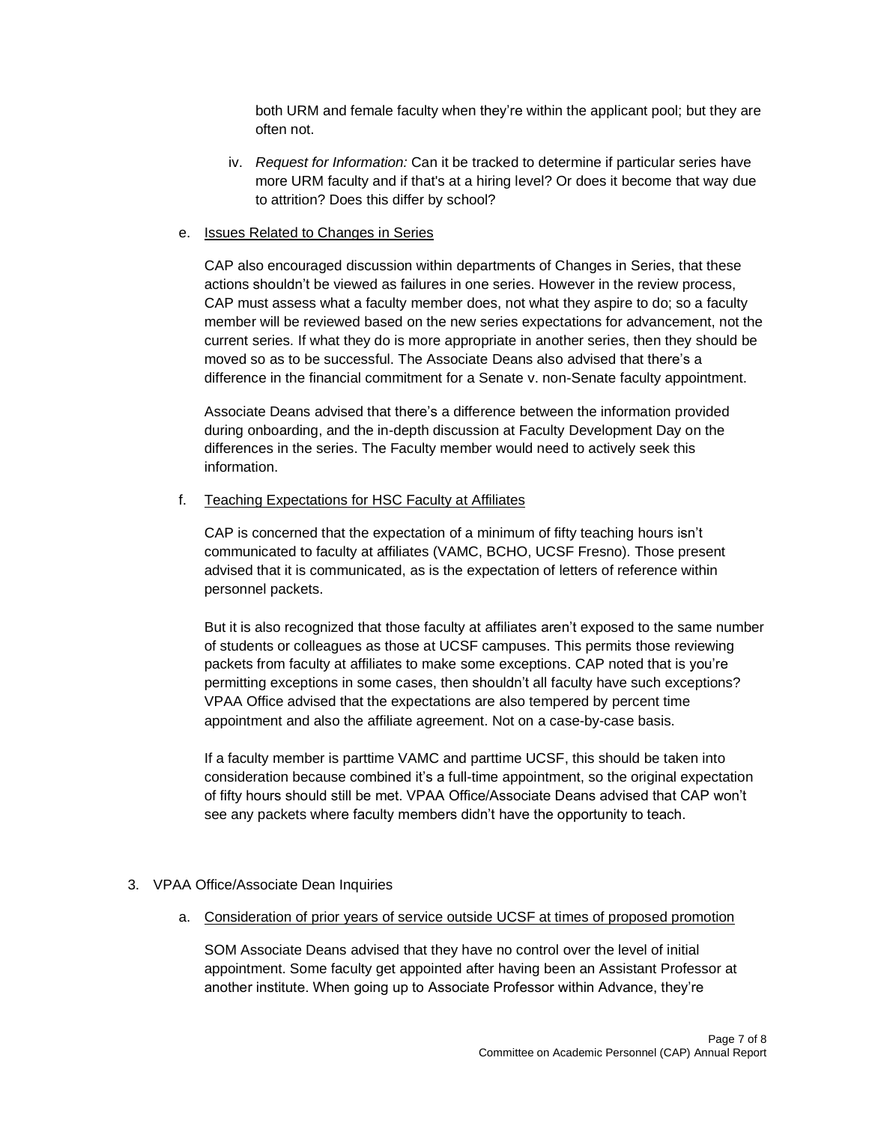both URM and female faculty when they're within the applicant pool; but they are often not.

- iv. *Request for Information:* Can it be tracked to determine if particular series have more URM faculty and if that's at a hiring level? Or does it become that way due to attrition? Does this differ by school?
- e. Issues Related to Changes in Series

CAP also encouraged discussion within departments of Changes in Series, that these actions shouldn't be viewed as failures in one series. However in the review process, CAP must assess what a faculty member does, not what they aspire to do; so a faculty member will be reviewed based on the new series expectations for advancement, not the current series. If what they do is more appropriate in another series, then they should be moved so as to be successful. The Associate Deans also advised that there's a difference in the financial commitment for a Senate v. non-Senate faculty appointment.

Associate Deans advised that there's a difference between the information provided during onboarding, and the in-depth discussion at Faculty Development Day on the differences in the series. The Faculty member would need to actively seek this information.

#### f. Teaching Expectations for HSC Faculty at Affiliates

CAP is concerned that the expectation of a minimum of fifty teaching hours isn't communicated to faculty at affiliates (VAMC, BCHO, UCSF Fresno). Those present advised that it is communicated, as is the expectation of letters of reference within personnel packets.

But it is also recognized that those faculty at affiliates aren't exposed to the same number of students or colleagues as those at UCSF campuses. This permits those reviewing packets from faculty at affiliates to make some exceptions. CAP noted that is you're permitting exceptions in some cases, then shouldn't all faculty have such exceptions? VPAA Office advised that the expectations are also tempered by percent time appointment and also the affiliate agreement. Not on a case-by-case basis.

If a faculty member is parttime VAMC and parttime UCSF, this should be taken into consideration because combined it's a full-time appointment, so the original expectation of fifty hours should still be met. VPAA Office/Associate Deans advised that CAP won't see any packets where faculty members didn't have the opportunity to teach.

# 3. VPAA Office/Associate Dean Inquiries

a. Consideration of prior years of service outside UCSF at times of proposed promotion

SOM Associate Deans advised that they have no control over the level of initial appointment. Some faculty get appointed after having been an Assistant Professor at another institute. When going up to Associate Professor within Advance, they're